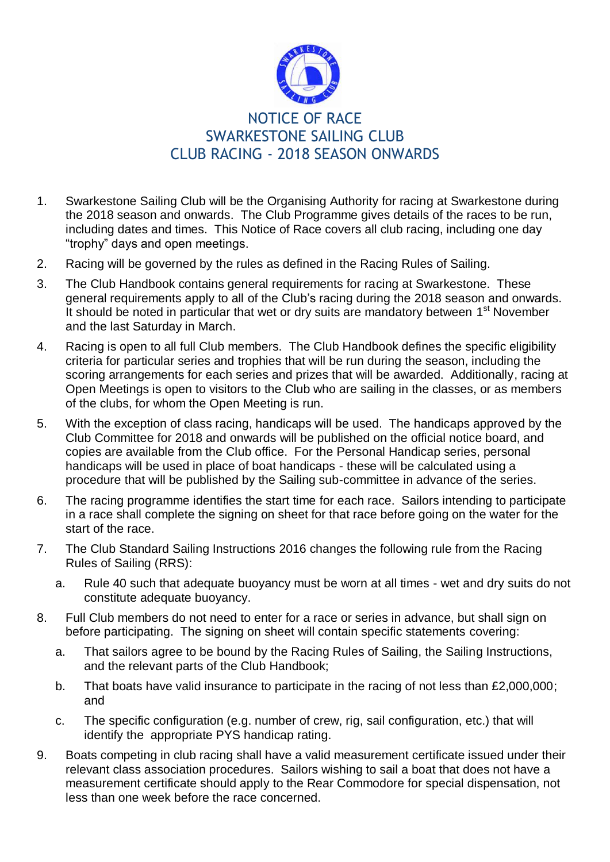

## NOTICE OF RACE SWARKESTONE SAILING CLUB CLUB RACING - 2018 SEASON ONWARDS

- 1. Swarkestone Sailing Club will be the Organising Authority for racing at Swarkestone during the 2018 season and onwards. The Club Programme gives details of the races to be run, including dates and times. This Notice of Race covers all club racing, including one day "trophy" days and open meetings.
- 2. Racing will be governed by the rules as defined in the Racing Rules of Sailing.
- 3. The Club Handbook contains general requirements for racing at Swarkestone. These general requirements apply to all of the Club's racing during the 2018 season and onwards. It should be noted in particular that wet or dry suits are mandatory between 1<sup>st</sup> November and the last Saturday in March.
- 4. Racing is open to all full Club members. The Club Handbook defines the specific eligibility criteria for particular series and trophies that will be run during the season, including the scoring arrangements for each series and prizes that will be awarded. Additionally, racing at Open Meetings is open to visitors to the Club who are sailing in the classes, or as members of the clubs, for whom the Open Meeting is run.
- 5. With the exception of class racing, handicaps will be used. The handicaps approved by the Club Committee for 2018 and onwards will be published on the official notice board, and copies are available from the Club office. For the Personal Handicap series, personal handicaps will be used in place of boat handicaps - these will be calculated using a procedure that will be published by the Sailing sub-committee in advance of the series.
- 6. The racing programme identifies the start time for each race. Sailors intending to participate in a race shall complete the signing on sheet for that race before going on the water for the start of the race.
- 7. The Club Standard Sailing Instructions 2016 changes the following rule from the Racing Rules of Sailing (RRS):
	- a. Rule 40 such that adequate buoyancy must be worn at all times wet and dry suits do not constitute adequate buoyancy.
- 8. Full Club members do not need to enter for a race or series in advance, but shall sign on before participating. The signing on sheet will contain specific statements covering:
	- a. That sailors agree to be bound by the Racing Rules of Sailing, the Sailing Instructions, and the relevant parts of the Club Handbook;
	- b. That boats have valid insurance to participate in the racing of not less than £2,000,000; and
	- c. The specific configuration (e.g. number of crew, rig, sail configuration, etc.) that will identify the appropriate PYS handicap rating.
- 9. Boats competing in club racing shall have a valid measurement certificate issued under their relevant class association procedures. Sailors wishing to sail a boat that does not have a measurement certificate should apply to the Rear Commodore for special dispensation, not less than one week before the race concerned.